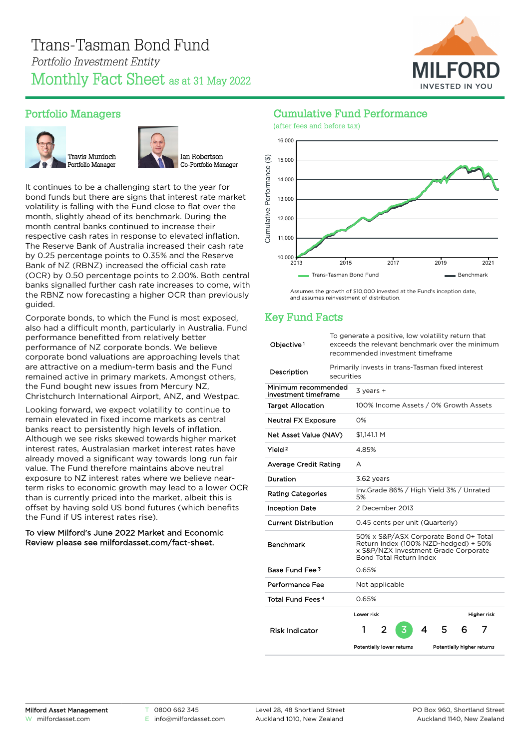

## Portfolio Managers





It continues to be a challenging start to the year for bond funds but there are signs that interest rate market volatility is falling with the Fund close to flat over the month, slightly ahead of its benchmark. During the month central banks continued to increase their respective cash rates in response to elevated inflation. The Reserve Bank of Australia increased their cash rate by 0.25 percentage points to 0.35% and the Reserve Bank of NZ (RBNZ) increased the official cash rate (OCR) by 0.50 percentage points to 2.00%. Both central banks signalled further cash rate increases to come, with the RBNZ now forecasting a higher OCR than previously guided.

Corporate bonds, to which the Fund is most exposed, also had a difficult month, particularly in Australia. Fund performance benefitted from relatively better performance of NZ corporate bonds. We believe corporate bond valuations are approaching levels that are attractive on a medium-term basis and the Fund remained active in primary markets. Amongst others, the Fund bought new issues from Mercury NZ, Christchurch International Airport, ANZ, and Westpac.

Looking forward, we expect volatility to continue to remain elevated in fixed income markets as central banks react to persistently high levels of inflation. Although we see risks skewed towards higher market interest rates, Australasian market interest rates have already moved a significant way towards long run fair value. The Fund therefore maintains above neutral exposure to NZ interest rates where we believe nearterm risks to economic growth may lead to a lower OCR than is currently priced into the market, albeit this is offset by having sold US bond futures (which benefits the Fund if US interest rates rise).

#### To view Milford's June 2022 Market and Economic Review please see [milfordasset.com/fact-sheet](https://milfordasset.com/wp-content/uploads/2022/06/Market-and-Economic-Review-June-2022.pdf).



Cumulative Fund Performance (after fees and before tax)

> Assumes the growth of \$10,000 invested at the Fund's inception date, and assumes reinvestment of distribution.

# Key Fund Facts

| Objective <sup>1</sup>                      | To generate a positive, low volatility return that<br>exceeds the relevant benchmark over the minimum<br>recommended investment timeframe |                                                                                                                                                  |                                       |   |                            |   |             |  |
|---------------------------------------------|-------------------------------------------------------------------------------------------------------------------------------------------|--------------------------------------------------------------------------------------------------------------------------------------------------|---------------------------------------|---|----------------------------|---|-------------|--|
| Description                                 | Primarily invests in trans-Tasman fixed interest<br>securities                                                                            |                                                                                                                                                  |                                       |   |                            |   |             |  |
| Minimum recommended<br>investment timeframe |                                                                                                                                           | $3$ years $+$                                                                                                                                    |                                       |   |                            |   |             |  |
| <b>Target Allocation</b>                    |                                                                                                                                           |                                                                                                                                                  | 100% Income Assets / 0% Growth Assets |   |                            |   |             |  |
| <b>Neutral FX Exposure</b>                  |                                                                                                                                           | $O\%$                                                                                                                                            |                                       |   |                            |   |             |  |
| Net Asset Value (NAV)                       |                                                                                                                                           | \$1.141.1 M                                                                                                                                      |                                       |   |                            |   |             |  |
| Yield <sup>2</sup>                          |                                                                                                                                           | 4.85%                                                                                                                                            |                                       |   |                            |   |             |  |
| <b>Average Credit Rating</b>                |                                                                                                                                           | A                                                                                                                                                |                                       |   |                            |   |             |  |
| Duration                                    |                                                                                                                                           | 3.62 years                                                                                                                                       |                                       |   |                            |   |             |  |
| <b>Rating Categories</b>                    |                                                                                                                                           | Inv.Grade 86% / High Yield 3% / Unrated<br>5%                                                                                                    |                                       |   |                            |   |             |  |
| <b>Inception Date</b>                       | 2 December 2013                                                                                                                           |                                                                                                                                                  |                                       |   |                            |   |             |  |
| <b>Current Distribution</b>                 |                                                                                                                                           |                                                                                                                                                  | 0.45 cents per unit (Quarterly)       |   |                            |   |             |  |
| <b>Benchmark</b>                            |                                                                                                                                           | 50% x S&P/ASX Corporate Bond 0+ Total<br>Return Index (100% NZD-hedged) + 50%<br>x S&P/NZX Investment Grade Corporate<br>Bond Total Return Index |                                       |   |                            |   |             |  |
| Base Fund Fee <sup>3</sup>                  |                                                                                                                                           | 0.65%                                                                                                                                            |                                       |   |                            |   |             |  |
| Performance Fee                             |                                                                                                                                           | Not applicable                                                                                                                                   |                                       |   |                            |   |             |  |
| Total Fund Fees <sup>4</sup>                |                                                                                                                                           | 0.65%                                                                                                                                            |                                       |   |                            |   |             |  |
|                                             |                                                                                                                                           | Lower risk                                                                                                                                       |                                       |   |                            |   | Higher risk |  |
| <b>Risk Indicator</b>                       |                                                                                                                                           | 1                                                                                                                                                | 2                                     | 4 | 5                          | 6 | 7           |  |
|                                             |                                                                                                                                           |                                                                                                                                                  | Potentially lower returns             |   | Potentially higher returns |   |             |  |